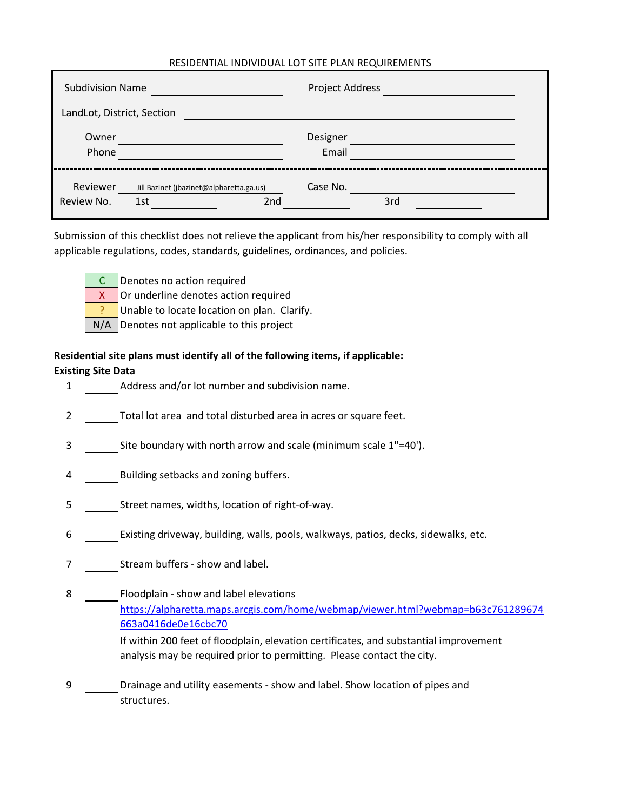### RESIDENTIAL INDIVIDUAL LOT SITE PLAN REQUIREMENTS

| <b>Subdivision Name</b>    |                                                 | Project Address   |     |  |  |
|----------------------------|-------------------------------------------------|-------------------|-----|--|--|
| LandLot, District, Section |                                                 |                   |     |  |  |
| Owner<br>Phone             |                                                 | Designer<br>Email |     |  |  |
| Reviewer<br>Review No.     | Jill Bazinet (jbazinet@alpharetta.ga.us)<br>1st | Case No.<br>2nd   | 3rd |  |  |

Submission of this checklist does not relieve the applicant from his/her responsibility to comply with all applicable regulations, codes, standards, guidelines, ordinances, and policies.

- C Denotes no action required
	- X Or underline denotes action required
	- Unable to locate location on plan. Clarify.
- N/A Denotes not applicable to this project

# **Residential site plans must identify all of the following items, if applicable: Existing Site Data**

- 1 Address and/or lot number and subdivision name.
- 2 Total lot area and total disturbed area in acres or square feet.
- 3 Site boundary with north arrow and scale (minimum scale 1"=40').
- 4 Building setbacks and zoning buffers.
- 5 Street names, widths, location of right-of-way.
- 6 Existing driveway, building, walls, pools, walkways, patios, decks, sidewalks, etc.
- 7 Stream buffers show and label.
- 8 Floodplain show and label elevations If within 200 feet of floodplain, elevation certificates, and substantial improvement analysis may be required prior to permitting. Please contact the city. [https:/](https://alpharetta.maps.arcgis.com/home/webmap/viewer.html?webmap=b63c761289674663a0416de0e16cbc70)/alpharetta.maps.arcgis.com/home/webmap/viewer.html?webmap=b63c761289674 [663a04](https://alpharetta.maps.arcgis.com/home/webmap/viewer.html?webmap=b63c761289674663a0416de0e16cbc70)16de0e16cbc70
- 9 Drainage and utility easements show and label. Show location of pipes and structures.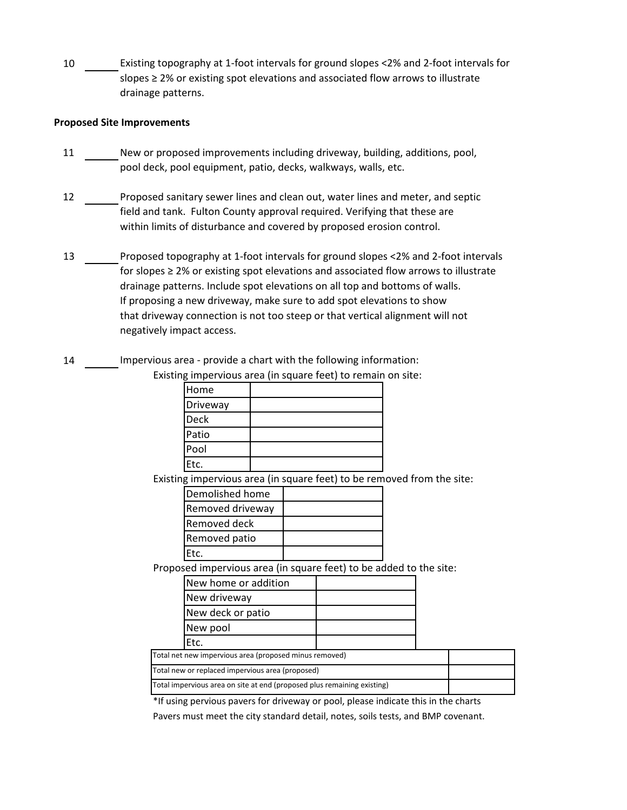10 Existing topography at 1-foot intervals for ground slopes <2% and 2-foot intervals for slopes ≥ 2% or existing spot elevations and associated flow arrows to illustrate drainage patterns.

#### **Proposed Site Improvements**

- 11 New or proposed improvements including driveway, building, additions, pool, pool deck, pool equipment, patio, decks, walkways, walls, etc.
- 12 Proposed sanitary sewer lines and clean out, water lines and meter, and septic field and tank. Fulton County approval required. Verifying that these are within limits of disturbance and covered by proposed erosion control.
- 13 Proposed topography at 1-foot intervals for ground slopes <2% and 2-foot intervals for slopes ≥ 2% or existing spot elevations and associated flow arrows to illustrate drainage patterns. Include spot elevations on all top and bottoms of walls. If proposing a new driveway, make sure to add spot elevations to show that driveway connection is not too steep or that vertical alignment will not negatively impact access.
- 14 Impervious area provide a chart with the following information:

| Existing impervious area (in square feet) to remain on site: |  |  |
|--------------------------------------------------------------|--|--|
|--------------------------------------------------------------|--|--|

| Home        |  |
|-------------|--|
| Driveway    |  |
| <b>Deck</b> |  |
| Patio       |  |
| Pool        |  |
| Etc.        |  |

Existing impervious area (in square feet) to be removed from the site:

| Demolished home  |  |
|------------------|--|
| Removed driveway |  |
| Removed deck     |  |
| Removed patio    |  |
| IEtc.            |  |

Proposed impervious area (in square feet) to be added to the site:

| New home or addition |  |
|----------------------|--|
| New driveway         |  |
| New deck or patio    |  |
| New pool             |  |
| Ftc                  |  |

Total net new impervious area (proposed minus removed) Total new or replaced impervious area (proposed)

| Total impervious area on site at end (proposed plus remaining existing) |  |
|-------------------------------------------------------------------------|--|
|                                                                         |  |

\*If using pervious pavers for driveway or pool, please indicate this in the charts

Pavers must meet the city standard detail, notes, soils tests, and BMP covenant.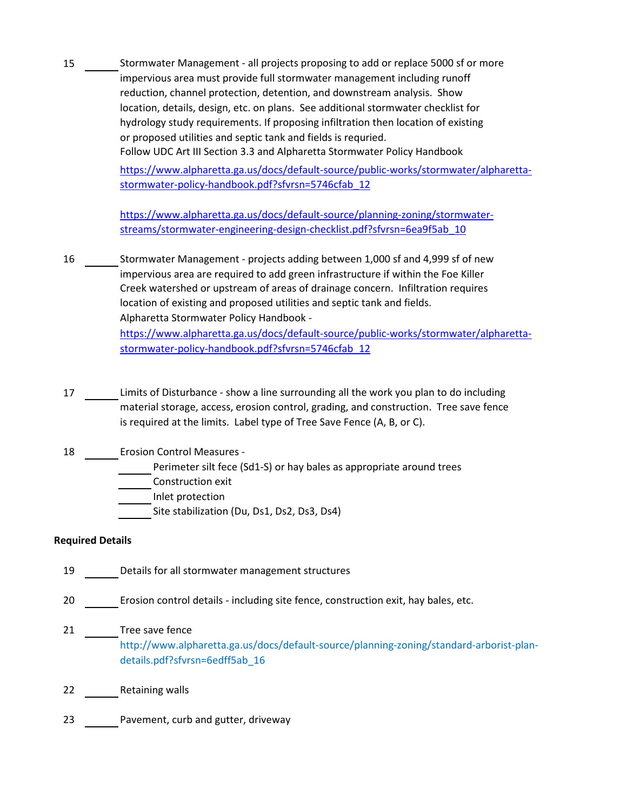15 Stormwater Management - all projects proposing to add or replace 5000 sf or more impervious area must provide full stormwater management including runoff reduction, channel protection, detention, and downstream analysis. Show location, details, design, etc. on plans. See additional stormwater checklist for hydrology study requirements. If proposing infiltration then location of existing or proposed utilities and septic tank and fields is requried. Follow UDC Art III Section 3.3 and Alpharetta Stormwater Policy Handbook 16 Stormwater Management - projects adding between 1,000 sf and 4,999 sf of new impervious area are required to add green infrastructure if within the Foe Killer Creek watershed or upstream of areas of drainage concern. Infiltration requires location of existing and proposed utilities and septic tank and fields. Alpharetta Stormwater Policy Handbook [https:/](https://www.alpharetta.ga.us/docs/default-source/planning-zoning/stormwater-streams/stormwater-engineering-design-checklist.pdf?sfvrsn=6ea9f5ab_10)/www.alpharetta.ga.us/docs/default-source/planning-zoning/stormwater[stream](https://www.alpharetta.ga.us/docs/default-source/planning-zoning/stormwater-streams/stormwater-engineering-design-checklist.pdf?sfvrsn=6ea9f5ab_10)s/stormwater-engineering-design-checklist.pdf?sfvrsn=6ea9f5ab\_10 [https:/](https://www.alpharetta.ga.us/docs/default-source/public-works/stormwater/alpharetta-stormwater-policy-handbook.pdf?sfvrsn=5746cfab_12)/www.alpharetta.ga.us/docs/default-source/public-works/stormwater/alpharetta[stormw](https://www.alpharetta.ga.us/docs/default-source/public-works/stormwater/alpharetta-stormwater-policy-handbook.pdf?sfvrsn=5746cfab_12)ater-policy-handbook.pdf?sfvrsn=5746cfab\_12

> [https:/](https://www.alpharetta.ga.us/docs/default-source/public-works/stormwater/alpharetta-stormwater-policy-handbook.pdf?sfvrsn=5746cfab_12)/www.alpharetta.ga.us/docs/default-source/public-works/stormwater/alpharetta[stormw](https://www.alpharetta.ga.us/docs/default-source/public-works/stormwater/alpharetta-stormwater-policy-handbook.pdf?sfvrsn=5746cfab_12)ater-policy-handbook.pdf?sfvrsn=5746cfab\_12

- 17 Limits of Disturbance show a line surrounding all the work you plan to do including material storage, access, erosion control, grading, and construction. Tree save fence is required at the limits. Label type of Tree Save Fence (A, B, or C).
- 18 Erosion Control Measures -

Perimeter silt fece (Sd1-S) or hay bales as appropriate around trees

- Construction exit
- Inlet protection

Site stabilization (Du, Ds1, Ds2, Ds3, Ds4)

## **Required Details**

- 19 Details for all stormwater management structures
- 20 Erosion control details including site fence, construction exit, hay bales, etc.
- 21 Tree save fence http://www.alpharetta.ga.us/docs/default-source/planning-zoning/standard-arborist-plandetails.pdf?sfvrsn=6edff5ab\_16
- 22 Retaining walls
- 23 Pavement, curb and gutter, driveway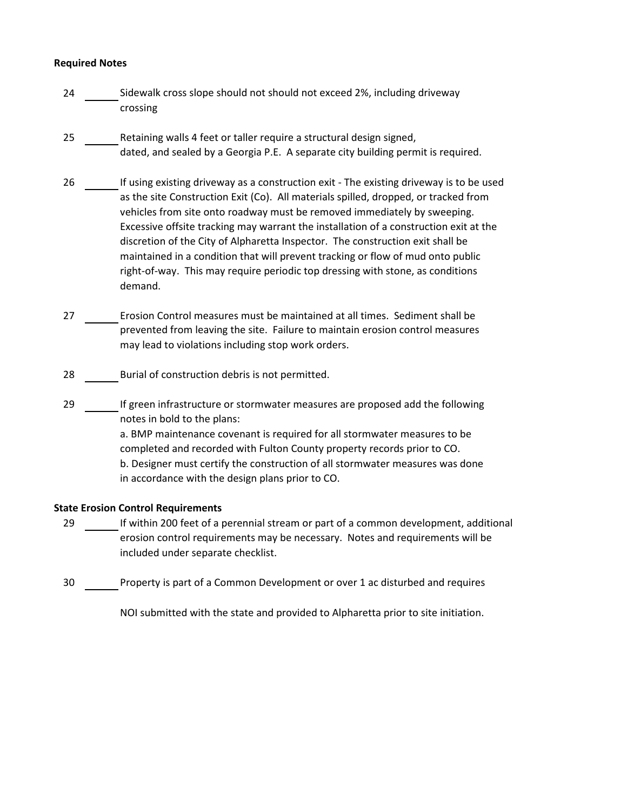#### **Required Notes**

- 24 Sidewalk cross slope should not should not exceed 2%, including driveway crossing
- 25 Retaining walls 4 feet or taller require a structural design signed, dated, and sealed by a Georgia P.E. A separate city building permit is required.
- 26 If using existing driveway as a construction exit The existing driveway is to be used as the site Construction Exit (Co). All materials spilled, dropped, or tracked from vehicles from site onto roadway must be removed immediately by sweeping. Excessive offsite tracking may warrant the installation of a construction exit at the discretion of the City of Alpharetta Inspector. The construction exit shall be maintained in a condition that will prevent tracking or flow of mud onto public right-of-way. This may require periodic top dressing with stone, as conditions demand.
- 27 Erosion Control measures must be maintained at all times. Sediment shall be prevented from leaving the site. Failure to maintain erosion control measures may lead to violations including stop work orders.
- 28 Burial of construction debris is not permitted.
- 29 If green infrastructure or stormwater measures are proposed add the following notes in bold to the plans: a. BMP maintenance covenant is required for all stormwater measures to be completed and recorded with Fulton County property records prior to CO. b. Designer must certify the construction of all stormwater measures was done in accordance with the design plans prior to CO.

#### **State Erosion Control Requirements**

- 29 If within 200 feet of a perennial stream or part of a common development, additional erosion control requirements may be necessary. Notes and requirements will be included under separate checklist.
- 30 Property is part of a Common Development or over 1 ac disturbed and requires

NOI submitted with the state and provided to Alpharetta prior to site initiation.